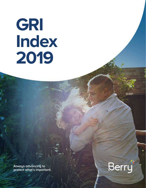# **GRI Index 2019**

**Always advancing to protect what's important.**

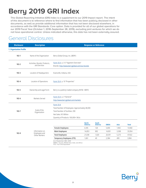## **Berry 2019 GRI Index**

This Global Reporting Initiative (GRI) Index is a supplement to our 2019 Impact report. The intent of this document is to reference where to find information that has been publicly disclosed in other documents, as well as provide additional information that has not been disclosed elsewhere, in accordance with the GRI Standards: Core option. Data is provided for all of our global operations for our 2019 Fiscal Year (October 1, 2018–September 28, 2019), excluding joint ventures for which we do not have operational control. Unless indicated otherwise, this data has not been externally assured.

#### General Disclosures

| <b>Disclosure</b>       | <b>Description</b>                            |                                                                                                                                                                          | <b>Response or Reference</b>   |                                |              |       |              |  |
|-------------------------|-----------------------------------------------|--------------------------------------------------------------------------------------------------------------------------------------------------------------------------|--------------------------------|--------------------------------|--------------|-------|--------------|--|
| 1. Organization Profile |                                               |                                                                                                                                                                          |                                |                                |              |       |              |  |
| $102 - 1$               | Name of the Organization                      | Berry Global Group, Inc. (BERY)                                                                                                                                          |                                |                                |              |       |              |  |
| $102 - 2$               | Activities, Brands, Products,<br>and Services | Form 10-K p. 3-5 "Segment Overview"<br>Brands: http://www.berryglobal.com/our-brands                                                                                     |                                |                                |              |       |              |  |
| $102 - 3$               | Location of Headquarters                      | Evansville, Indiana, USA                                                                                                                                                 |                                |                                |              |       |              |  |
| $102 - 4$               | Location of Operations                        | Form 10-K p. 10 "Properties"                                                                                                                                             |                                |                                |              |       |              |  |
| $102 - 5$               | Ownership and Legal Form                      | Berry is a publicly traded company (NYSE: BERY)                                                                                                                          |                                |                                |              |       |              |  |
| $102 - 6$               | Markets Served                                | Form 10-K p. 3 "General"<br>http://www.berryglobal.com/markets                                                                                                           |                                |                                |              |       |              |  |
| $102 - 7$               | Scale of the<br>Organization                  | Form 10-K<br>Total Number of Employees: Approximately 48,000<br><b>Total Number of Facilities: 290</b><br>Net Sales: \$13 Billion<br>Quantity of Products: 100,000+ SKUs |                                |                                |              |       |              |  |
|                         |                                               |                                                                                                                                                                          | <b>North</b><br><b>America</b> | <b>South</b><br><b>America</b> | <b>EMEIA</b> | Asia  | <b>Total</b> |  |
|                         |                                               | <b>Female Employees</b>                                                                                                                                                  | 6,185                          | 128                            | 5,690        | 1,965 | 13,968       |  |
| $102 - 8$               | Information on<br>Employees and               | <b>Male Employees</b>                                                                                                                                                    | 14,853                         | 892                            | 14,901       | 3,308 | 33,954       |  |
|                         | Other Workers                                 | <b>Total Employees</b>                                                                                                                                                   | 21,038                         | 1,020                          | 20,591       | 5,273 | 47,922       |  |
|                         |                                               | <b>Temporary Employees (FTE)</b>                                                                                                                                         | 1,061                          | 40                             | 2,384        | 499   | 3,984        |  |
|                         |                                               | As of September 28th, 2019<br>EMEIA = Europe, Middle East, India, and Africa<br>FTE = Full Time Equivalent                                                               |                                |                                |              |       |              |  |

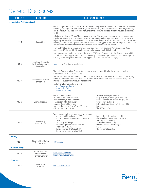#### General Disclosures

| <b>Disclosure</b>                   | <b>Description</b>                                                 | <b>Response or Reference</b>                                                                                                                                                                                                                                                                                                                                                                                                                                                                                                                               |                                                                                                                                                                                                                                                 |  |  |  |
|-------------------------------------|--------------------------------------------------------------------|------------------------------------------------------------------------------------------------------------------------------------------------------------------------------------------------------------------------------------------------------------------------------------------------------------------------------------------------------------------------------------------------------------------------------------------------------------------------------------------------------------------------------------------------------------|-------------------------------------------------------------------------------------------------------------------------------------------------------------------------------------------------------------------------------------------------|--|--|--|
| 1. Organization Profile (continued) |                                                                    |                                                                                                                                                                                                                                                                                                                                                                                                                                                                                                                                                            |                                                                                                                                                                                                                                                 |  |  |  |
|                                     |                                                                    | Our most significant raw material is plastic resin. We work very closely with our resin suppliers. We use additional<br>materials, including butyl rubber, adhesives, paper and packaging materials, linerboard, rayon, polyester fiber,<br>and foil. We source raw materials, equipment, and services for our global operations from suppliers around the<br>world.                                                                                                                                                                                       |                                                                                                                                                                                                                                                 |  |  |  |
| $102 - 9$                           | Supply Chain                                                       | In FY19, we acquired RPC Group. The procurement groups of the two legacy companies have been working closely<br>together since the acquisition to drive synergies. We are actively working together to ensure compliance with<br>regulatory and customer requirements for supply chain management across six continents. At this time, we have<br>not integrated how we manage suppliers from an ESG/sustainability perspective, but we recognize the impact we<br>can achieve by leveraging our scale for good across our tens of thousands of suppliers. |                                                                                                                                                                                                                                                 |  |  |  |
|                                     |                                                                    | Berry and RPC had similar strategies for supplier engagement - each focusing on 1) resin suppliers, 2) new<br>suppliers, and 3) the top 100-150 suppliers, representing approximately 80% of spend.                                                                                                                                                                                                                                                                                                                                                        |                                                                                                                                                                                                                                                 |  |  |  |
|                                     |                                                                    | Berry manages top suppliers by category through our BEST (Berry Exceptional Supplier Team) program, which<br>this program to closely evaluate and improve supplier performance across each category.                                                                                                                                                                                                                                                                                                                                                       | formally documents supplier performance semi-annually. Executive management and commodity managers use                                                                                                                                          |  |  |  |
| 102-10                              | Significant Changes to<br>the Organization and Its<br>Supply Chain | Form 10-K p. 13-14 "Recent Acquisitions"                                                                                                                                                                                                                                                                                                                                                                                                                                                                                                                   |                                                                                                                                                                                                                                                 |  |  |  |
|                                     |                                                                    | The Audit Committee of the Board of Directors has oversight responsibility for risk assessment and risk<br>management practices of the Company.                                                                                                                                                                                                                                                                                                                                                                                                            |                                                                                                                                                                                                                                                 |  |  |  |
| 102-11                              | Precautionary Principle<br>or Approach                             | Furthermore, both our Sustainability and Environmental policies were developed with the intent of proactively<br>minimizing the impacts of our processes and products on the environment. This includes deselecting raw<br>materials because of known or suspected concerns.                                                                                                                                                                                                                                                                               |                                                                                                                                                                                                                                                 |  |  |  |
|                                     |                                                                    | For further information, please refer to:<br><b>Audit Committee Charter</b><br><b>Sustainability Policy</b><br><b>Environmental Policy</b>                                                                                                                                                                                                                                                                                                                                                                                                                 |                                                                                                                                                                                                                                                 |  |  |  |
| $102 - 12$                          | <b>External Initiatives</b>                                        | Operation Clean Sweep®<br>Ellen MacArthur Foundation New<br>Plastics Economy Global Commitment<br>Association of Plastic Recyclers<br><b>Recycling Demand Champions</b><br>Corporate Renewable Energy Buyers' Principles<br>Alliance to End Plastic Waste                                                                                                                                                                                                                                                                                                  | Science Based Targets Initiative<br>Wrap Recycling Action Program (W.R.A.P.)<br>Circular Economy for Flexible Packaging (CEFLEX)<br>Circular Plastics Alliance<br>Polyolefin Circular Economy Platform (PCEP)<br>Recoup<br>The UK Plastics Pact |  |  |  |
| 102-13                              | Membership<br>of Associations                                      | We are members of several organizations, including:<br>Association of Plastic Recyclers (APR)<br>Association of the Nonwoven Fabrics Industry<br>(INDA)<br>Plastic Recyclers Europe<br>European Disposables and Nonwovens<br>Association (EDANA)<br>Flexible Film Recycling Group (FFRG)<br>Flexible Packaging Association (FPA)                                                                                                                                                                                                                           | Foodservice Packaging Institute (FPI)<br>Plastics Industry Association (PLASTICS)<br>The Recycling Partnership<br>AMERIPEN (joined in 2020)<br>European Plastics Converters (EuPC)<br><b>INCPEN</b><br>The Packaging Federation                 |  |  |  |
| 2. Strategy                         |                                                                    |                                                                                                                                                                                                                                                                                                                                                                                                                                                                                                                                                            |                                                                                                                                                                                                                                                 |  |  |  |
| 102-14                              | <b>Statement from Senior</b><br>Decision-Maker                     | <b>CEO's Message</b>                                                                                                                                                                                                                                                                                                                                                                                                                                                                                                                                       |                                                                                                                                                                                                                                                 |  |  |  |
| 3. Ethics and Integrity             |                                                                    |                                                                                                                                                                                                                                                                                                                                                                                                                                                                                                                                                            |                                                                                                                                                                                                                                                 |  |  |  |
| 102-16                              | Values, Principles<br>Standards and<br>Norms of Behavior           | <b>Code of Business Ethics</b><br><b>Supplemental Code of Ethics</b>                                                                                                                                                                                                                                                                                                                                                                                                                                                                                       |                                                                                                                                                                                                                                                 |  |  |  |
| 4. Governance                       |                                                                    |                                                                                                                                                                                                                                                                                                                                                                                                                                                                                                                                                            |                                                                                                                                                                                                                                                 |  |  |  |
| 102-18                              | Governance<br>Structure                                            | <b>Corporate Governance</b>                                                                                                                                                                                                                                                                                                                                                                                                                                                                                                                                |                                                                                                                                                                                                                                                 |  |  |  |

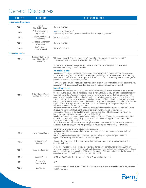#### General Disclosures

| <b>Disclosure</b>            | <b>Description</b>                                               | <b>Response or Reference</b>                                                                                                                                                                                                                                                                                                                                                                                                                                                                                                                                                                                                                                                                                                                                                                                                                                                                                                                                                                                                                                                                                                                                                                                                                                                                                                                                                                                                                                                                                                                                                                                                                                                                                                                                                                                                       |
|------------------------------|------------------------------------------------------------------|------------------------------------------------------------------------------------------------------------------------------------------------------------------------------------------------------------------------------------------------------------------------------------------------------------------------------------------------------------------------------------------------------------------------------------------------------------------------------------------------------------------------------------------------------------------------------------------------------------------------------------------------------------------------------------------------------------------------------------------------------------------------------------------------------------------------------------------------------------------------------------------------------------------------------------------------------------------------------------------------------------------------------------------------------------------------------------------------------------------------------------------------------------------------------------------------------------------------------------------------------------------------------------------------------------------------------------------------------------------------------------------------------------------------------------------------------------------------------------------------------------------------------------------------------------------------------------------------------------------------------------------------------------------------------------------------------------------------------------------------------------------------------------------------------------------------------------|
| 5. Stakeholder Engagement    |                                                                  |                                                                                                                                                                                                                                                                                                                                                                                                                                                                                                                                                                                                                                                                                                                                                                                                                                                                                                                                                                                                                                                                                                                                                                                                                                                                                                                                                                                                                                                                                                                                                                                                                                                                                                                                                                                                                                    |
| $102 - 40$                   | List of<br>Stakeholder Groups                                    | Please refer to 102-46                                                                                                                                                                                                                                                                                                                                                                                                                                                                                                                                                                                                                                                                                                                                                                                                                                                                                                                                                                                                                                                                                                                                                                                                                                                                                                                                                                                                                                                                                                                                                                                                                                                                                                                                                                                                             |
| $102 - 41$                   | <b>Collective Bargaining</b><br>Agreements                       | Form 10-K p. 5 "Employees"<br>Approximately 20% of employees are covered by collective bargaining agreements.                                                                                                                                                                                                                                                                                                                                                                                                                                                                                                                                                                                                                                                                                                                                                                                                                                                                                                                                                                                                                                                                                                                                                                                                                                                                                                                                                                                                                                                                                                                                                                                                                                                                                                                      |
| 102-42                       | Identifying and Selecting<br>Stakeholders                        | Please refer to 102-46                                                                                                                                                                                                                                                                                                                                                                                                                                                                                                                                                                                                                                                                                                                                                                                                                                                                                                                                                                                                                                                                                                                                                                                                                                                                                                                                                                                                                                                                                                                                                                                                                                                                                                                                                                                                             |
| $102 - 43$                   | Approach to Stakeholder<br>Engagement                            | Please refer to 102-46                                                                                                                                                                                                                                                                                                                                                                                                                                                                                                                                                                                                                                                                                                                                                                                                                                                                                                                                                                                                                                                                                                                                                                                                                                                                                                                                                                                                                                                                                                                                                                                                                                                                                                                                                                                                             |
| $102 - 44$                   | Key Topics and<br>Concerns Raised                                | Please refer to 102-46                                                                                                                                                                                                                                                                                                                                                                                                                                                                                                                                                                                                                                                                                                                                                                                                                                                                                                                                                                                                                                                                                                                                                                                                                                                                                                                                                                                                                                                                                                                                                                                                                                                                                                                                                                                                             |
| <b>6. Reporting Practice</b> |                                                                  |                                                                                                                                                                                                                                                                                                                                                                                                                                                                                                                                                                                                                                                                                                                                                                                                                                                                                                                                                                                                                                                                                                                                                                                                                                                                                                                                                                                                                                                                                                                                                                                                                                                                                                                                                                                                                                    |
| 102-45                       | Entities Included in the<br>Consolidated Financial<br>Statements | This report covers all of our global operations for which Berry had operational control at the end of<br>the reporting period, unless otherwise specified for specific indicators.                                                                                                                                                                                                                                                                                                                                                                                                                                                                                                                                                                                                                                                                                                                                                                                                                                                                                                                                                                                                                                                                                                                                                                                                                                                                                                                                                                                                                                                                                                                                                                                                                                                 |
|                              |                                                                  | A sustainability assessment was performed in order to determine material aspects boundaries for all<br>stakeholders in the long-term success of Berry.                                                                                                                                                                                                                                                                                                                                                                                                                                                                                                                                                                                                                                                                                                                                                                                                                                                                                                                                                                                                                                                                                                                                                                                                                                                                                                                                                                                                                                                                                                                                                                                                                                                                             |
|                              |                                                                  | <b>Internal Stakeholders</b><br>Employees: An Employee Sustainability Survey was previously sent to all employees, globally. The survey was<br>translated into 8 languages to cover the native language of all of our global operations at the time of the survey.<br>Employees were asked to evaluate each aspect in terms of importance both to the long-term sustainability of the<br>Company as well as to the employee, personally.                                                                                                                                                                                                                                                                                                                                                                                                                                                                                                                                                                                                                                                                                                                                                                                                                                                                                                                                                                                                                                                                                                                                                                                                                                                                                                                                                                                           |
|                              |                                                                  | Berry: Any aspects for which we have a Corporate initiative or policy were automatically considered material. Any<br>aspects for which we were already publishing data were also automatically considered material.                                                                                                                                                                                                                                                                                                                                                                                                                                                                                                                                                                                                                                                                                                                                                                                                                                                                                                                                                                                                                                                                                                                                                                                                                                                                                                                                                                                                                                                                                                                                                                                                                |
| $102 - 46$                   | Defining Report Content<br>and Topic Boundaries                  | <b>External Stakeholders</b><br>Customers: Our customers are one of our most critical stakeholders. We partner with them to ensure we are<br>well-aligned. This reduces the risk of not being able to comply with evolving requirements. It also positions Berry<br>to gain additional share. We determine customer priorities in a variety of ways, including direct engagement,<br>annual survey, monitoring public commitments, and tracking what our customers ask us about in their surveys.<br>Investors: We directly engage with a number of our investors on ESG. Their feedback has been consistent with<br>overall industry trends around ESG. Most of them look for Berry to report in alignment with industry frameworks,<br>e.g. GRI, CDP, SASB. Many have also stressed the importance of improving ESG ratings - looking at factors<br>considered material for our industry as a whole.<br>In FY19, we had several investors ask about marine debris, including our efforts to prevent pellet loss. This was<br>already a material topic, but outreach from the investor community increased its significance.<br>Communities: The communities in which we operate are a critical stakeholder. Community engagement is<br>encouraged at the corporate level and managed at the local level.<br>Suppliers: Our suppliers are important partners that are critical to our long-term success. As one of the largest<br>converters in the plastics industry, Berry is proud to work closely with our suppliers to ensure alignment and<br>mutually define materiality for the plastics industry.<br>NGOs: We closely track press releases from non-governmental organizations (NGOs). We are also fortunate to<br>have numerous direct engagements. Incorporating their input is important for reducing potential risk. |
| $102 - 47$                   | List of Material Topics                                          | Economic: Economic performance, ethical business practices<br>Environmental: Litter and marine debris, energy, greenhouse gas emissions, waste, water, recyclability of<br>Berry's packaging<br>Social: Employee safety, regulatory compliance and product safety, employee training and education<br>opportunities, reporting of ethics violations, and human rights                                                                                                                                                                                                                                                                                                                                                                                                                                                                                                                                                                                                                                                                                                                                                                                                                                                                                                                                                                                                                                                                                                                                                                                                                                                                                                                                                                                                                                                              |
| $102 - 48$                   | Restatements of<br>Information                                   | Historical data may be modified to reflect changes in business structure, as well as improvements in data<br>collection and accuracy.                                                                                                                                                                                                                                                                                                                                                                                                                                                                                                                                                                                                                                                                                                                                                                                                                                                                                                                                                                                                                                                                                                                                                                                                                                                                                                                                                                                                                                                                                                                                                                                                                                                                                              |
| 102-49                       | Changes in Reporting                                             | During the 2019 reporting period there was a significant change in reporting boundaries. In July 2019, Berry<br>completed the acquisition of RPC Group, a leading plastic product design and engineering company for packaging<br>and non-packaging markets, comprising of 189 sites in 34 countries. This report reflects data for the combined<br>operations of legacy RPC and Berry for the 2019 reporting period.                                                                                                                                                                                                                                                                                                                                                                                                                                                                                                                                                                                                                                                                                                                                                                                                                                                                                                                                                                                                                                                                                                                                                                                                                                                                                                                                                                                                              |
| 102-50                       | <b>Reporting Period</b>                                          | 2019 Fiscal Year (October 1, 2018 - September 28, 2019) unless otherwise noted                                                                                                                                                                                                                                                                                                                                                                                                                                                                                                                                                                                                                                                                                                                                                                                                                                                                                                                                                                                                                                                                                                                                                                                                                                                                                                                                                                                                                                                                                                                                                                                                                                                                                                                                                     |
| 102-51                       | Date of Most<br>Recent Report                                    | 2018                                                                                                                                                                                                                                                                                                                                                                                                                                                                                                                                                                                                                                                                                                                                                                                                                                                                                                                                                                                                                                                                                                                                                                                                                                                                                                                                                                                                                                                                                                                                                                                                                                                                                                                                                                                                                               |
| 102-52                       | Reporting Cycle                                                  | Annual, however we did not issue a GRI Index in 2018 because resources were instead focused on integration of<br>our RPC acquisition                                                                                                                                                                                                                                                                                                                                                                                                                                                                                                                                                                                                                                                                                                                                                                                                                                                                                                                                                                                                                                                                                                                                                                                                                                                                                                                                                                                                                                                                                                                                                                                                                                                                                               |

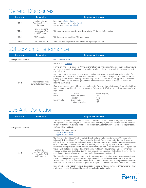#### General Disclosures

| <b>Disclosure</b> | <b>Description</b>                                            | <b>Response or Reference</b>                                                                                         |
|-------------------|---------------------------------------------------------------|----------------------------------------------------------------------------------------------------------------------|
| $102 - 53$        | Contact Point for<br>Questions Regarding<br>the Report        | Sustainability: Robert Flores<br>Corporate Communications: Eva Schmitz<br><b>Investor Relations: Dustin Stilwell</b> |
| 102-54            | Claims of Reporting<br>in Accordance With<br>the GRI Standard | This report has been prepared in accordance with the GRI Standards: Core option                                      |
| 102-55            | <b>GRI Content Index</b>                                      | This document is a standalone GRI content index.                                                                     |
| 102-56            | External Assurance                                            | We are not obtaining external assurance for our reporting at this time.                                              |

#### 201 Economic Performance

| <b>Disclosure</b>          | <b>Description</b>                                 | <b>Response or Reference</b> |                                                 |                                                                                                                                                                                                                                                                                                                                                                                                                                                                 |  |  |  |
|----------------------------|----------------------------------------------------|------------------------------|-------------------------------------------------|-----------------------------------------------------------------------------------------------------------------------------------------------------------------------------------------------------------------------------------------------------------------------------------------------------------------------------------------------------------------------------------------------------------------------------------------------------------------|--|--|--|
| <b>Management Approach</b> |                                                    | Corporate Governance         |                                                 |                                                                                                                                                                                                                                                                                                                                                                                                                                                                 |  |  |  |
|                            |                                                    | Please refer to: Form 10-K   |                                                 |                                                                                                                                                                                                                                                                                                                                                                                                                                                                 |  |  |  |
|                            | Direct Economic Value<br>Generated and Distributed | to recycle or reuse.         |                                                 | Berry is committed to its mission of 'Always advancing to protect what's important,' and proudly partners with its<br>customers to provide them with value-added protective solutions that are increasingly light-weighted and easier                                                                                                                                                                                                                           |  |  |  |
| $201-1$                    |                                                    | industrial end markets.      |                                                 | Beyond economic value, our products provide tremendous social value. Berry is a leading global supplier of a<br>broad range of innovative rigid, flexible, and non-woven products. These include products for food and medical<br>packaging, diapers, various sanitizing and disinfecting products, protective healthcare apparel, transportation/<br>logistics-related products, and packaging for many other products that are essential to both consumer and |  |  |  |
|                            |                                                    | impact areas:                |                                                 | Many of our products also provide environmental benefits. We are working to better quantify our sales that have<br>Environmental or Social benefits. Here is a summary of sales in our HH&S division within Environmental or Social                                                                                                                                                                                                                             |  |  |  |
|                            |                                                    | Pillar<br>Social             | Impact Area<br>Disease Prevention<br>Sanitation | FY19 Sales (\$MM)<br>306<br>1,515                                                                                                                                                                                                                                                                                                                                                                                                                               |  |  |  |
|                            |                                                    | Environmental                | Green Building<br>Pollution Prevention          | 118<br>100                                                                                                                                                                                                                                                                                                                                                                                                                                                      |  |  |  |

#### 205 Anti-Corruption

| <b>Disclosure</b>          | <b>Description</b>                                                                       | <b>Response or Reference</b>                                                                                                                                                                                                                                                                                                                                                                                                                                                                                                                                                                                                                                                                                                                                                                                                                                                                  |
|----------------------------|------------------------------------------------------------------------------------------|-----------------------------------------------------------------------------------------------------------------------------------------------------------------------------------------------------------------------------------------------------------------------------------------------------------------------------------------------------------------------------------------------------------------------------------------------------------------------------------------------------------------------------------------------------------------------------------------------------------------------------------------------------------------------------------------------------------------------------------------------------------------------------------------------------------------------------------------------------------------------------------------------|
| <b>Management Approach</b> |                                                                                          | It is the policy of Berry and its subsidiaries to conduct business in accordance with the highest ethical, moral,<br>and legal standards. In so doing, we conduct our business efficiently, in good faith, with due care, and in the best<br>interest of our Company, our employees, and our shareholders. Specific employee expectations are provided in<br>our Code of Business Ethics.                                                                                                                                                                                                                                                                                                                                                                                                                                                                                                     |
|                            |                                                                                          | For more information, please visit:<br><b>Code of Business Ethics</b><br><b>Supplemental Code of Ethics</b>                                                                                                                                                                                                                                                                                                                                                                                                                                                                                                                                                                                                                                                                                                                                                                                   |
| $205 - 2$                  | Communication<br>and Training About<br><b>Anti-Corruption Policies</b><br>and Procedures | The Code of Business Ethics (Code) is distributed to all employees, officers, and directors of Berry and other<br>individuals designated by the Ethics Committee and/or the Audit Committee to receive the Code. All employees,<br>officers, directors, and other such individuals receiving the Code are expected to read and familiarize themselves<br>with the Code and are required to execute an Acknowledgment confirming they have received and read,<br>understand, and agree to comply with the Code. Newly hired, promoted, or transferred employees are presented<br>with the Code and asked to execute the Acknowledgement at the time they commence work at Berry or start<br>their new position. From time to time, in order to re-emphasize our commitment to the Code, Berry may elect to<br>redistribute the Code to all employees and have updated Acknowledgements signed. |
|                            |                                                                                          | The CEO and all directors, presidents, executive vice presidents, and other officers/employees reporting directly<br>to the CEO are required to sign a copy of the Company's Certification and Supplemental Code of Ethics (the<br>"Supplemental Code"). The Supplemental Code, which is in addition to the standards set by our Code of Business<br>Ethics, was created in order to establish a higher level of expectation for the most senior leaders of the Company.                                                                                                                                                                                                                                                                                                                                                                                                                      |
|                            |                                                                                          | Furthermore, all employees are required to participate in annual compliance training covering a variety of subject<br>matters, including the Berry Code of Business Ethics and global anti-corruption.                                                                                                                                                                                                                                                                                                                                                                                                                                                                                                                                                                                                                                                                                        |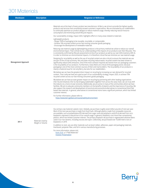#### 301 Materials

| <b>Disclosure</b>          | <b>Description</b>                    | <b>Response or Reference</b>                                                                                                                                                                                                                                                                                                                                                                                                                                                                                                                                                                                                                                                                                                                                                                                                                                                                                                                                                                                                                                                                                                                                                                                                                                                                                                                                                                                                                                                                                                                                                                                                                                                                                                                                                                                                                                                                                                                                                                                                                                                                                                                                                                                                                                                                                                                                                                                                                                                                                                                                                                                                                                                                                                                                                                    |
|----------------------------|---------------------------------------|-------------------------------------------------------------------------------------------------------------------------------------------------------------------------------------------------------------------------------------------------------------------------------------------------------------------------------------------------------------------------------------------------------------------------------------------------------------------------------------------------------------------------------------------------------------------------------------------------------------------------------------------------------------------------------------------------------------------------------------------------------------------------------------------------------------------------------------------------------------------------------------------------------------------------------------------------------------------------------------------------------------------------------------------------------------------------------------------------------------------------------------------------------------------------------------------------------------------------------------------------------------------------------------------------------------------------------------------------------------------------------------------------------------------------------------------------------------------------------------------------------------------------------------------------------------------------------------------------------------------------------------------------------------------------------------------------------------------------------------------------------------------------------------------------------------------------------------------------------------------------------------------------------------------------------------------------------------------------------------------------------------------------------------------------------------------------------------------------------------------------------------------------------------------------------------------------------------------------------------------------------------------------------------------------------------------------------------------------------------------------------------------------------------------------------------------------------------------------------------------------------------------------------------------------------------------------------------------------------------------------------------------------------------------------------------------------------------------------------------------------------------------------------------------------|
| <b>Management Approach</b> |                                       | Materials are at the heart of every product we manufacture. At Berry, we strive to provide the highest quality<br>products and services that consistently exceed customers' expectations. We are motivated by our stakeholders<br>to continually optimize our product designs to reduce material usage, thereby reducing natural resource<br>consumption and minimizing overall lifecycle impacts.<br>Our sustainability strategy, Impact 2025, highlights efforts in many areas related to materials:<br>Lightweight products<br>- Design 100% of packaging to be reusable, recyclable, or compostable<br>- Achieve 10% recycled content across fast-moving consumer goods packaging<br>- Encourage the development of renewable materials<br>Reducing raw material usage by lightweighting products is the primary method we utilize to reduce our overall<br>environmental impact. That is driven by our understanding of the impacts of our products over their lifecycles. This<br>is consistently confirmed by lifecycle assessments (LCAs) of our products as well as our own GHG inventory (305-3).<br>In order to minimize our environmental impacts, it is therefore critical that we minimize our raw material usage.<br>Designing for recyclability as well as the use of recycled content are also critical to ensure the materials we use<br>are part of the circular economy. Not only does recycling reduce waste, recycled content has been shown to<br>significantly reduce GHG emissions. One of the most common inquiries we receive from our packaging customers<br>is the recyclability of our products. Furthermore, many NGOs are critical of the packaging sector, because<br>packaging is one of the most common sources of litter and marine debris. The recyclability of our products is<br>clearly a material issue for not only Berry, but also for our stakeholders.<br>We believe we can have the greatest direct impact on recycling by increasing our own demand for recycled<br>content. That is why we have set a goal as part of our sustainability strategy, Impact 2025, to achieve 10%<br>recycled content across our fast-moving consumers goods packaging.<br>We believe we can have an even greater impact on recycling by partnering with other leading organizations<br>(102-13) and initiatives (102-12). By bringing stakeholders together from across the value chain, we can truly shift<br>the industry to a more circular economy. Additionally, we are active in many of the communities where we have<br>facilities. We aim to educate community members on the benefits of plastics and the importance of recycling. We<br>also support the research and development of practical and economical alternatives to conventional fossil fuel |
|                            |                                       | based raw materials. In general, alternatives to conventional resins have a significant premium, which has limited<br>customer interest.<br>For further information, please refer to:<br>https://www.berryglobal.com/sustainability/environment                                                                                                                                                                                                                                                                                                                                                                                                                                                                                                                                                                                                                                                                                                                                                                                                                                                                                                                                                                                                                                                                                                                                                                                                                                                                                                                                                                                                                                                                                                                                                                                                                                                                                                                                                                                                                                                                                                                                                                                                                                                                                                                                                                                                                                                                                                                                                                                                                                                                                                                                                 |
|                            |                                       |                                                                                                                                                                                                                                                                                                                                                                                                                                                                                                                                                                                                                                                                                                                                                                                                                                                                                                                                                                                                                                                                                                                                                                                                                                                                                                                                                                                                                                                                                                                                                                                                                                                                                                                                                                                                                                                                                                                                                                                                                                                                                                                                                                                                                                                                                                                                                                                                                                                                                                                                                                                                                                                                                                                                                                                                 |
| $301-1$                    | Materials Used by<br>Weight or Volume | Our primary raw material is plastic resin. Globally, we purchase roughly seven billion pounds of resin per year.<br>Most of the resin we purchase is made from fossil fuels. Although plastics made from renewable resources<br>are available, such as polyethylene (PE) derived from sugar cane and poly(lactic acid) (PLA) derived from corn,<br>bioplastics represent a low portion of our overall usage. In general, bioplastics cost more than conventional<br>plastics, which has limited customer interest. The primary bioplastic we purchase is regenerated cellulose fibers<br>used in our non-wovens, including viscose and rayon. Collectively, we purchased over 10,000 metric tons of<br>bioplastics in 2019.                                                                                                                                                                                                                                                                                                                                                                                                                                                                                                                                                                                                                                                                                                                                                                                                                                                                                                                                                                                                                                                                                                                                                                                                                                                                                                                                                                                                                                                                                                                                                                                                                                                                                                                                                                                                                                                                                                                                                                                                                                                                     |
|                            |                                       | In addition to resin, we use other materials such as butyl rubber, adhesives, paper and packaging materials,<br>linerboard, polyester fiber, and foil in various manufacturing processes.                                                                                                                                                                                                                                                                                                                                                                                                                                                                                                                                                                                                                                                                                                                                                                                                                                                                                                                                                                                                                                                                                                                                                                                                                                                                                                                                                                                                                                                                                                                                                                                                                                                                                                                                                                                                                                                                                                                                                                                                                                                                                                                                                                                                                                                                                                                                                                                                                                                                                                                                                                                                       |
|                            |                                       | For more information, please visit:<br>Form 10-K p. 6 "Raw Materials"<br><b>Investor Presentation</b>                                                                                                                                                                                                                                                                                                                                                                                                                                                                                                                                                                                                                                                                                                                                                                                                                                                                                                                                                                                                                                                                                                                                                                                                                                                                                                                                                                                                                                                                                                                                                                                                                                                                                                                                                                                                                                                                                                                                                                                                                                                                                                                                                                                                                                                                                                                                                                                                                                                                                                                                                                                                                                                                                           |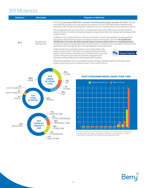#### 301 Materials

| <b>Disclosure</b> | <b>Description</b>               | <b>Response or Reference</b>                                                                                                                                                                                                                                                                                                                                                                                                                                                                                                                      |  |  |  |  |  |  |
|-------------------|----------------------------------|---------------------------------------------------------------------------------------------------------------------------------------------------------------------------------------------------------------------------------------------------------------------------------------------------------------------------------------------------------------------------------------------------------------------------------------------------------------------------------------------------------------------------------------------------|--|--|--|--|--|--|
|                   |                                  | In FY2019, we purchased 70,000 metric tons (over 150 million pounds) of post-consumer resin (PCR). This does<br>not include the recycling of our scrap back into our products. Our use of PCR significantly increased with the<br>acquisition of RPC. We plan to leverage RPC's expertise in the use of recycled content to the other Berry divisions                                                                                                                                                                                             |  |  |  |  |  |  |
| $301 - 2$         |                                  | The recycled plastic we use in our products is summarized in these charts. Where we use recycled content is<br>mostly a reflection of customer demand and regulatory requirements rather than being driven by where we offer<br>recycled content.                                                                                                                                                                                                                                                                                                 |  |  |  |  |  |  |
|                   | Recycled Input<br>Materials Used | In addition to the recycled content we consume in our products, we also have significant recycling operations<br>that produce material both for internal consumption as well as external sales. In FY2019, we recycled over<br>100,000 metric tons (over 200 million pounds) of post-consumer plastic within our recycling operations.<br>As customers express increased demand for recycled content, it is important for us to be able to source PCR both<br>externally as well as through our own, vertically integrated, recycling operations. |  |  |  |  |  |  |
|                   |                                  | Finally, we also work to purchase products, such as plastic pallets, that<br>contain recycled content. This further encourages recycling end markets<br>We are an APR Recycling<br>DEMAND CHAMPION<br>$\triangle$ PR)<br>and the circular economy. As evidence of our commitment to use recycled<br>content in the items we purchase, we have been recognized by the<br>Association of Plastics Recyclers as a Recycling Demand Champion.                                                                                                         |  |  |  |  |  |  |

Only the recycled plastic we use is considered material, although a significant portion of the paper-based products we purchase, such as cardboard boxes, is from recycled sources.



#### **POST-CONSUMER RESIN USAGE OVER TIME\***



\*This data is reflective of our PCR usage as reported in the reporting year. Historical data is not adjusted for acquisitions, but instead, is reflective of our business as it existed during the year indicated. FY19 includes full year reporting from RPC

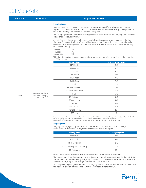#### 301 Materials

| <b>Disclosure</b> | <b>Description</b>                      | <b>Response or Reference</b>                                                                                                                                                                                                                                                                                                                                                                                                                                                                                            |                              |  |  |  |  |
|-------------------|-----------------------------------------|-------------------------------------------------------------------------------------------------------------------------------------------------------------------------------------------------------------------------------------------------------------------------------------------------------------------------------------------------------------------------------------------------------------------------------------------------------------------------------------------------------------------------|------------------------------|--|--|--|--|
|                   |                                         | <b>Recycling Access</b>                                                                                                                                                                                                                                                                                                                                                                                                                                                                                                 |                              |  |  |  |  |
|                   |                                         | Recycling access varies by country. In some cases, the materials accepted for recycling even vary between<br>adjacent municipalities. We have reported on U.S. access because this is both where Berry is headquartered as<br>well as home to the greatest number of our manufacturing sites.                                                                                                                                                                                                                           |                              |  |  |  |  |
|                   |                                         | The package types shown below are the primary products we manufacture that have recycling access. Recycling<br>access for other products is minimal.<br>As part of our commitment to a circular economy, we believe it is important to report progress on the Ellen<br>MacArthur Foundation New Plastics Economy Global Commitment. We are still refining our methodology for<br>determining what percentage of our packaging is reusable, recyclable, or compostable; however, we currently<br>estimate the following: |                              |  |  |  |  |
|                   |                                         |                                                                                                                                                                                                                                                                                                                                                                                                                                                                                                                         |                              |  |  |  |  |
|                   |                                         | Reusable<br>$< 1\%$<br>Recyclable<br>75%<br>Compostable<br>$< 1\%$                                                                                                                                                                                                                                                                                                                                                                                                                                                      |                              |  |  |  |  |
|                   |                                         | This is based on our fast-moving consumer goods packaging, excluding sales of reusable packaging we produce                                                                                                                                                                                                                                                                                                                                                                                                             |                              |  |  |  |  |
|                   |                                         | <b>Package Type</b>                                                                                                                                                                                                                                                                                                                                                                                                                                                                                                     | <b>U.S. Recycling Access</b> |  |  |  |  |
|                   |                                         | <b>HDPE Bottles</b>                                                                                                                                                                                                                                                                                                                                                                                                                                                                                                     | 92%                          |  |  |  |  |
|                   |                                         | <b>PET Bottles</b>                                                                                                                                                                                                                                                                                                                                                                                                                                                                                                      | 92%                          |  |  |  |  |
|                   |                                         | PP Bottles                                                                                                                                                                                                                                                                                                                                                                                                                                                                                                              | 81%                          |  |  |  |  |
|                   |                                         | <b>LDPE Bottles</b>                                                                                                                                                                                                                                                                                                                                                                                                                                                                                                     | 80%                          |  |  |  |  |
|                   |                                         | <b>PVC Bottles</b>                                                                                                                                                                                                                                                                                                                                                                                                                                                                                                      | 78%                          |  |  |  |  |
|                   |                                         | <b>Bottle Caps</b>                                                                                                                                                                                                                                                                                                                                                                                                                                                                                                      | 76%                          |  |  |  |  |
|                   |                                         | PE Film                                                                                                                                                                                                                                                                                                                                                                                                                                                                                                                 | 72%                          |  |  |  |  |
|                   |                                         | PP Tubs/Containers                                                                                                                                                                                                                                                                                                                                                                                                                                                                                                      | 70%                          |  |  |  |  |
|                   |                                         | <b>HDPE Non-Bottle Rigids</b>                                                                                                                                                                                                                                                                                                                                                                                                                                                                                           | 65%                          |  |  |  |  |
| $301 - 3$         | <b>Reclaimed Products</b>               | PP Cups                                                                                                                                                                                                                                                                                                                                                                                                                                                                                                                 | 61%                          |  |  |  |  |
|                   | and Their Packaging<br><b>Materials</b> | <b>PS Containers</b>                                                                                                                                                                                                                                                                                                                                                                                                                                                                                                    | 60%                          |  |  |  |  |
|                   |                                         | PP and PE Lids                                                                                                                                                                                                                                                                                                                                                                                                                                                                                                          | 54%                          |  |  |  |  |
|                   |                                         | PS Lids                                                                                                                                                                                                                                                                                                                                                                                                                                                                                                                 | 45%                          |  |  |  |  |
|                   |                                         | <b>Plastic Buckets</b>                                                                                                                                                                                                                                                                                                                                                                                                                                                                                                  | 43%                          |  |  |  |  |
|                   |                                         | PP and PS Cutlery                                                                                                                                                                                                                                                                                                                                                                                                                                                                                                       | 5%                           |  |  |  |  |
|                   |                                         | PE Tubes                                                                                                                                                                                                                                                                                                                                                                                                                                                                                                                | 1%                           |  |  |  |  |
|                   |                                         | Resource Recycling Systems and Moore Recycling Associates, Inc. "2015-16 Centralized Study on Availability of Recycling". 2016                                                                                                                                                                                                                                                                                                                                                                                          |                              |  |  |  |  |

Moore Recycling Associates Inc. "Plastic Recycling Collection National Reach Study: 2012 Update". 2013 Moore Recycling Associates, Inc. "Plastic Film and Bag Recycling Collection: National Reach Study". 2012

#### **Recycling Rates**

Recycling rates vary by country. We have reported on U.S. access because this is both where Berry is headquartered as well as home to the greatest number of our manufacturing sites.

| <b>Package Type</b>              | <b>U.S. Recycling Rate</b> |
|----------------------------------|----------------------------|
| <b>PET Bottles</b>               | 29%                        |
| <b>HDPE Bottles</b>              | 30%                        |
| <b>HDPE Containers</b>           | 21%                        |
| LDPE/LLDPE Bags, Sacks, and Wrap | 18%                        |
| PP Containers                    | 8%                         |

Source: U.S. EPA. "Advancing Sustainable Materials Management: 2016 and 2017 Tables and Figures. 2019

The package types shown above are the only types for which U.S. recycling rate data is published by the U.S. EPA. In some cases, there may be meaningful recycling of product types not mentioned above, such as PP and PE lids. In most cases, recycling rates for package types not listed above are minimal.

Different package type categories are listed for the recycling rate data versus the recycling access data due to the fact that the data is from different sources which do not utilize the same terminology.



**8**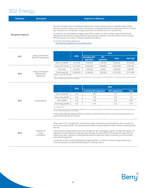### 302 Energy

| <b>Disclosure</b>          | <b>Description</b>                                   |                                                                                                                                                                                                                                                                                                                                                                                                                                                                                                                                                                                                                                                                                                                                              |            | <b>Response or Reference</b>             |                                |                        |            |  |
|----------------------------|------------------------------------------------------|----------------------------------------------------------------------------------------------------------------------------------------------------------------------------------------------------------------------------------------------------------------------------------------------------------------------------------------------------------------------------------------------------------------------------------------------------------------------------------------------------------------------------------------------------------------------------------------------------------------------------------------------------------------------------------------------------------------------------------------------|------------|------------------------------------------|--------------------------------|------------------------|------------|--|
| <b>Management Approach</b> |                                                      | We strive to minimize our environmental footprint and conserve natural resources. Manufacturing is energy<br>intensive; therefore, plastics, our primary raw material, are typically derived from energy sources such as natural<br>gas. Taking this into consideration, energy conservation has become one of our top priorities.<br>As outlined in our sustainability strategy, Impact 2025, our goal is to reduce energy intensity by 1% per year.<br>Although we have near-term energy reduction goals, we have a long-term vision to be "Best in Class" in energy<br>efficiency as part of our efforts to achieve Operational Excellence.<br>For further information, please visit:<br>http://www.berryglobal.com/sustainability-policy |            |                                          |                                |                        |            |  |
|                            |                                                      |                                                                                                                                                                                                                                                                                                                                                                                                                                                                                                                                                                                                                                                                                                                                              |            |                                          |                                | 2019                   |            |  |
| $302 - 1$                  | <b>Energy Consumption</b><br>Within the Organization |                                                                                                                                                                                                                                                                                                                                                                                                                                                                                                                                                                                                                                                                                                                                              | 2018       | <b>Excluding RPC</b><br><b>Aquistion</b> | <b>RPC</b><br><b>Aquistion</b> | <b>Total</b>           | Total (GJ) |  |
|                            |                                                      | Electricity (MWh)                                                                                                                                                                                                                                                                                                                                                                                                                                                                                                                                                                                                                                                                                                                            | 3,231,000  | 3,244,000                                | 1,782,000                      | 5,026,000              | 18,092,000 |  |
|                            |                                                      | Natural Gas (therm)                                                                                                                                                                                                                                                                                                                                                                                                                                                                                                                                                                                                                                                                                                                          | 35,277,000 | 34,946,000                               | 8,380,000                      | 43,326,000             | 4,570,000  |  |
|                            |                                                      | Other $(G])^*$                                                                                                                                                                                                                                                                                                                                                                                                                                                                                                                                                                                                                                                                                                                               | 932,000    | 1,005,000                                | 64,000                         | 1,069,000              | 1,069,000  |  |
| $302 - 2$                  | <b>Energy Consumption</b><br>Outside of the          | Total Energy (GJ)                                                                                                                                                                                                                                                                                                                                                                                                                                                                                                                                                                                                                                                                                                                            | 16,286,000 | 16,368,000                               | 7,363,000                      | 23,731,000             | 23,731,000 |  |
|                            |                                                      |                                                                                                                                                                                                                                                                                                                                                                                                                                                                                                                                                                                                                                                                                                                                              | 2018       |                                          |                                | 2019                   |            |  |
|                            |                                                      |                                                                                                                                                                                                                                                                                                                                                                                                                                                                                                                                                                                                                                                                                                                                              |            | <b>Excluding RPC Aquistion</b>           |                                | <b>RPC Acquisition</b> | Total      |  |
|                            |                                                      | Electricity (GJ/MT)                                                                                                                                                                                                                                                                                                                                                                                                                                                                                                                                                                                                                                                                                                                          | 4.52       | 4.40                                     |                                | 5.41                   | 4.71       |  |
|                            |                                                      | Natural Gas (GJ/MT)                                                                                                                                                                                                                                                                                                                                                                                                                                                                                                                                                                                                                                                                                                                          | 1.45       | 1.39                                     |                                | 0.75                   | 1.19       |  |
| $302 - 3$                  | Energy Intensity                                     | Other (GJ/MT)                                                                                                                                                                                                                                                                                                                                                                                                                                                                                                                                                                                                                                                                                                                                | 0.36       | 0.38                                     |                                | 0.05                   | 0.28       |  |
|                            |                                                      | Total Energy (GJ/MT)                                                                                                                                                                                                                                                                                                                                                                                                                                                                                                                                                                                                                                                                                                                         | 6.33       | 6.16                                     |                                | 6.21                   | 6.18       |  |
|                            |                                                      | MT = Metric Tons<br>Other energy sources are only tracked for facilities that do not use natural gas. For facilities that use natural gas, other energy sources<br>are de minimis and therefore not tracked.                                                                                                                                                                                                                                                                                                                                                                                                                                                                                                                                 |            |                                          |                                |                        |            |  |
|                            |                                                      | Product lightweighting negatively affects our efforts to reduce intensity metrics since volume processed is our<br>preferred denominator for intensity.                                                                                                                                                                                                                                                                                                                                                                                                                                                                                                                                                                                      |            |                                          |                                |                        |            |  |
| $302 - 4$                  | Reduction of<br>Energy<br>Consumption                | Please refer to 302-1 through 302-3. Our absolute energy consumption was essentially flat, year-over-year, but<br>our intensity decreased 3%. That indicates we were able to produce additional volume without increasing energy<br>demand.<br>Improvements in energy intensity are driven through our Berry Unplugged program. Through this program, we<br>regularly share best practices to help sites reduce energy. Our sites implement hundreds of energy reduction<br>project every year, ranging from simple lighting projects to significant capital investments to purchase newer,<br>more efficient equipment.<br>As indicated in 302-3, product lightweighting negatively affects our efforts to reduce energy intensity since    |            |                                          |                                |                        |            |  |
|                            |                                                      | volume processed is our preferred denominator for intensity metrics.                                                                                                                                                                                                                                                                                                                                                                                                                                                                                                                                                                                                                                                                         |            |                                          |                                |                        |            |  |

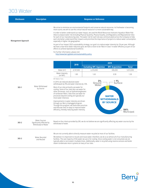#### 303 Water

| <b>Disclosure</b>          | <b>Description</b>                                                       |                                                                                                                                                                                                                                                                                                                                                                                                                                                                                                                                                                                                                                                                                                                                                                                                                                                                                                                                                                                                                                                                                                                  |           | <b>Response or Reference</b>                                                                                                                                                                                                                                                                                                                                                                                                                   |                                                                              |                  |  |
|----------------------------|--------------------------------------------------------------------------|------------------------------------------------------------------------------------------------------------------------------------------------------------------------------------------------------------------------------------------------------------------------------------------------------------------------------------------------------------------------------------------------------------------------------------------------------------------------------------------------------------------------------------------------------------------------------------------------------------------------------------------------------------------------------------------------------------------------------------------------------------------------------------------------------------------------------------------------------------------------------------------------------------------------------------------------------------------------------------------------------------------------------------------------------------------------------------------------------------------|-----------|------------------------------------------------------------------------------------------------------------------------------------------------------------------------------------------------------------------------------------------------------------------------------------------------------------------------------------------------------------------------------------------------------------------------------------------------|------------------------------------------------------------------------------|------------------|--|
| <b>Management Approach</b> |                                                                          | We strive to minimize our environmental footprint and conserve natural resources. As freshwater is becoming<br>more scarce, we aim to use this critical natural resource in a more sustainable way.<br>In order to better understand our water impact, we used the World Resources Institute's Aqueduct Water Risk<br>Atlas to analyze water risk (including Physical Quantity, Physical Quality, and Regulatory and Reputational risks)<br>for each of our manufacturing sites. The water risk for each site was communicated across the Company to help<br>each site better understand their impacts and prioritize the importance of projects to reduce water consumption,<br>especially in higher risk geographies.<br>As part of our Impact 2025 sustainability strategy, our goal is to reduce water intensity by 1% per year. Although<br>we have a near-term water reduction goal, we have a vision to be "Best in Class" in water efficiency as part of our<br>efforts to achieve Operational Excellence.<br>For further information, please visit:<br>http://www.berryglobal.com/sustainability-policy |           |                                                                                                                                                                                                                                                                                                                                                                                                                                                |                                                                              |                  |  |
|                            |                                                                          |                                                                                                                                                                                                                                                                                                                                                                                                                                                                                                                                                                                                                                                                                                                                                                                                                                                                                                                                                                                                                                                                                                                  |           |                                                                                                                                                                                                                                                                                                                                                                                                                                                | 2019                                                                         |                  |  |
|                            | Water Withdrawal<br>by Source                                            |                                                                                                                                                                                                                                                                                                                                                                                                                                                                                                                                                                                                                                                                                                                                                                                                                                                                                                                                                                                                                                                                                                                  | 2018      | <b>Excluding RPC Aquistion</b>                                                                                                                                                                                                                                                                                                                                                                                                                 | <b>RPC Acquisition</b>                                                       | <b>Total</b>     |  |
|                            |                                                                          | Water $(m^3)$                                                                                                                                                                                                                                                                                                                                                                                                                                                                                                                                                                                                                                                                                                                                                                                                                                                                                                                                                                                                                                                                                                    | 4,747,000 | 4,316,000                                                                                                                                                                                                                                                                                                                                                                                                                                      | 696,000                                                                      | 5,012,000        |  |
| $303 - 1$                  |                                                                          | Water Intensity<br>(m <sup>3</sup> /MT)                                                                                                                                                                                                                                                                                                                                                                                                                                                                                                                                                                                                                                                                                                                                                                                                                                                                                                                                                                                                                                                                          | 1.85      | 1.63                                                                                                                                                                                                                                                                                                                                                                                                                                           | 0.59                                                                         | 1.30             |  |
|                            |                                                                          | MT=Metric Tons<br>In 2019, we reduced absolute water<br>withdrawals by 9% and water intensity by 12%.<br>Most of our sites primarily use water for<br>cooling. Some of our sites also use water for<br>other processes, such as hydroentanglement<br>of nonwoven fibers. Sites that use water for<br>processes beyond cooling are typically our<br>most water intensive.<br>Improvements in water intensity are driven<br>through our Berry Unplugged program.<br>Through this program, we share best practices<br>and educate sites on ways to improve water<br>efficiency, thereby reducing water intensity.                                                                                                                                                                                                                                                                                                                                                                                                                                                                                                   |           | 3%<br>Ground<br>Water                                                                                                                                                                                                                                                                                                                                                                                                                          | $< 1\%$<br>Surface<br><b>WATER</b><br><b>WITHDRAWALS</b><br><b>BY SOURCE</b> | 94%<br>Municipal |  |
| $303 - 2$                  | <b>Water Sources</b><br>Significantly Affected by<br>Withdrawal of Water | withdrawal of water.                                                                                                                                                                                                                                                                                                                                                                                                                                                                                                                                                                                                                                                                                                                                                                                                                                                                                                                                                                                                                                                                                             |           | Based on the criteria provided by GRI, we do not believe we are significantly affecting any water sources by the                                                                                                                                                                                                                                                                                                                               |                                                                              |                  |  |
| $303 - 3$                  | Water Recycled<br>and Reused                                             | steam condensate return systems at many of our sites.                                                                                                                                                                                                                                                                                                                                                                                                                                                                                                                                                                                                                                                                                                                                                                                                                                                                                                                                                                                                                                                            |           | We are not currently able to directly measure water recycled at most of our facilities.<br>We believe it is important to recycle and reuse water; therefore, we do so at almost all of our manufacturing<br>facilities. The vast majority of the water we use is for cooling. Since cooling water is not consumed, we are<br>typically able to recirculate it multiple times. Additionally, water is recycled using reverse osmosis and boiler |                                                                              |                  |  |

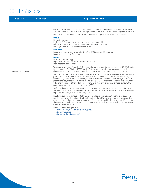#### 305 Emissions

| <b>Disclosure</b>          | <b>Description</b> | <b>Response or Reference</b>                                                                                                                                                                                                                                                                                                                                                                                                                                                                                                                                                                                                          |
|----------------------------|--------------------|---------------------------------------------------------------------------------------------------------------------------------------------------------------------------------------------------------------------------------------------------------------------------------------------------------------------------------------------------------------------------------------------------------------------------------------------------------------------------------------------------------------------------------------------------------------------------------------------------------------------------------------|
|                            |                    |                                                                                                                                                                                                                                                                                                                                                                                                                                                                                                                                                                                                                                       |
|                            |                    | Our target, in line with our Impact 2025 sustainability strategy, is to reduce greenhouse gas emissions intensity<br>25% by 2025 versus our 2016 baseline. This target was set in line with the Science Based Targets initiative (SBTi).                                                                                                                                                                                                                                                                                                                                                                                              |
|                            |                    | Several other targets from our Impact 2025 sustainability strategy also aim to reduce GHG emissions:                                                                                                                                                                                                                                                                                                                                                                                                                                                                                                                                  |
|                            |                    | <b>Products</b><br>Lightweight products<br>Design 100% of packaging to be reusable, recyclable, or compostable<br>Achieve 10% recycled content across fast-moving consumer goods packaging<br>Encourage the development of renewable materials                                                                                                                                                                                                                                                                                                                                                                                        |
|                            |                    | <b>Performance</b><br>Reduce greenhouse gas emissions intensity 25% by 2025 versus our 2016 baseline<br>Reduce energy intensity 1% per year                                                                                                                                                                                                                                                                                                                                                                                                                                                                                           |
|                            |                    | <b>Partners</b><br>Increase renewable energy<br>Expand the use of plastic in place of alternative materials<br>Promote science-based targets                                                                                                                                                                                                                                                                                                                                                                                                                                                                                          |
| <b>Management Approach</b> |                    | We began calculating our Scope 1+2 GHG emissions for our 2008 reporting year as part of the U.S. EPA Climate<br>Leaders program. Our 2008 and 2009 Scope 1+2 GHG inventory method and accuracy were both verified by the<br>Climate Leaders program. We are not currently obtaining 3rd party assurance for our GHG emissions.                                                                                                                                                                                                                                                                                                        |
|                            |                    | We initially calculated the Scope 1 GHG emissions for all Scope 1 sources. We later determined only our natural<br>gas consumption was material and all other sources of Scope 1 GHG emissions were de minimis. For any<br>manufacturing sites that do not use natural gas, we track their consumption of "Other" energy sources, such as<br>propane or diesel, since those are material sources of Scope 1 GHG emissions for those individual sites. Those<br>Other energy sources are then included in our overall GHG inventory. To understand the scale of our Other<br>energy sources versus natural gas, please refer to 302-1. |
|                            |                    | We first disclosed our Scope 1+2 GHG emissions to CDP starting in 2010, as part of the Supply Chain program.<br>We have reported our GHG emissions to CDP every year since, and after we became a publicly traded Company,<br>began also responding to the Climate Change survey.                                                                                                                                                                                                                                                                                                                                                     |
|                            |                    | In 2015, we began calculating Scope 3 GHG emissions. Full detail of our Scope 3 GHG emissions is available in<br>our CDP responses, including the method used to estimate the GHG emissions for each source. Many of the<br>commonly used methodologies for calculating Scope 3 emissions can yield order of magnitude different results.<br>Therefore, we primarily use our Scope 3 GHG emissions to understand their relative scale rather than putting<br>credence in the actual values.                                                                                                                                           |
|                            |                    | For further information, please visit:<br>http://www.berryglobal.com/sustainability-policy<br>https://www.cdp.net/<br>https://sciencebasedtargets.org/                                                                                                                                                                                                                                                                                                                                                                                                                                                                                |

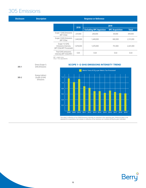#### 305 Emissions

| <b>Disclosure</b>      | <b>Description</b>                                                                        | <b>Response or Reference</b>                                                                                                                                                                                                       |                                |              |
|------------------------|-------------------------------------------------------------------------------------------|------------------------------------------------------------------------------------------------------------------------------------------------------------------------------------------------------------------------------------|--------------------------------|--------------|
|                        |                                                                                           | 2018<br><b>Excluding RPC Aquistion</b>                                                                                                                                                                                             | 2019<br><b>RPC Acquisition</b> | <b>Total</b> |
|                        |                                                                                           | Scope 1 GHG Emissions<br>237,000<br>240,000<br>(MT CO2e)                                                                                                                                                                           | 69,000                         | 309,000      |
|                        |                                                                                           | Scope 2 GHG Emissions<br>1,440,000<br>1,449,000<br>(MT CO2e)                                                                                                                                                                       | 682,000                        | 2,131,000    |
|                        |                                                                                           | Scope 1+2 GHG<br>Emissions Intensity<br>1,678,000<br>1,670,000<br>(MT CO2e/MT Processed)                                                                                                                                           | 751,000                        | 2,441,000    |
|                        |                                                                                           | Total GHG emissions<br>0.65<br>0.64<br>intensity (MT CO2e/MT)                                                                                                                                                                      | 0.63                           | 0.64         |
| $305 - 1$<br>$305 - 2$ | Direct (Scope 1)<br><b>GHG Emissions</b><br>Energy Indirect<br>(Scope 2) GHG<br>Emissions | $MT = metric$ tons<br>$CO2e = CO2$ equivalents<br><b>SCOPE 1+2 GHG EMISSIONS INTENSITY TREND</b><br>Metric Tons of CO <sub>2</sub> e per Metric Ton Processed<br>$1.2$<br>1.0                                                      |                                |              |
|                        |                                                                                           | 0.8<br>0.6<br>0.4<br>0.2<br>2009 2010<br>2011<br>2012 2013 2014<br>2008                                                                                                                                                            | 2015 2016 2017 2018 2019       |              |
|                        |                                                                                           | This data is reflective of our GHG Emissions Intensity as reported in the reporting year. Historical data is not<br>adjusted for acquisitions, but instead, is reflective of our business as it existed during the year indicated. |                                |              |

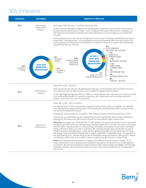#### 305 Emissions

| <b>Disclosure</b>                         | <b>Description</b>                                      | <b>Response or Reference</b>                                                                                                                                                                                                                                                                                                                                                                                                                                                                                                                                                                                                                                                                                                                                                                                                                                                                                                  |
|-------------------------------------------|---------------------------------------------------------|-------------------------------------------------------------------------------------------------------------------------------------------------------------------------------------------------------------------------------------------------------------------------------------------------------------------------------------------------------------------------------------------------------------------------------------------------------------------------------------------------------------------------------------------------------------------------------------------------------------------------------------------------------------------------------------------------------------------------------------------------------------------------------------------------------------------------------------------------------------------------------------------------------------------------------|
| $305 - 3$                                 | Other Indirect<br>(Scope 3) GHG<br>Emissions            | Total Scope 3 GHG Emissions = 10.5 million metric tons CO2e<br>As discussed in the Management Approach for this this section, we primarily use our Scope 3 GHG emissions<br>to understand the relative scale vs. Scopes 1 and 2. Full detail of our Scope 3 GHG emissions is available in our<br>CDP response, but the relative comparison here shows that Scope 3 is by far our largest source of total GHG<br>emissions.                                                                                                                                                                                                                                                                                                                                                                                                                                                                                                    |
|                                           |                                                         | Purchased goods and services is by far the largest source of our Scope 3 emissions, primarily driven by the resin<br>we purchase. Combining Scopes 1-3, Purchased goods and services represents 68% of our total footprint. The<br>processing and use of sold products are de minimis in the lifecycle of most of our products. We have therefore<br>excluded them from our estimates.<br>5%<br><b>FUEL/ENERGY</b>                                                                                                                                                                                                                                                                                                                                                                                                                                                                                                            |
| 81%<br>SCOPE <sub>3</sub><br><b>TOTAL</b> | <b>2019 GHG</b><br><b>EMISSIONS</b><br><b>BREAKDOWN</b> | RELATED ACTIVITIES<br>$< 1\%$<br><b>WASTE IN</b><br><b>SCOPE 3</b><br><b>OPERATIONS</b><br>2%<br>84%<br><b>2019 GHG</b><br>$< 1\%$<br>SCOPE <sub>1</sub><br><b>PURCHASED</b><br><b>BUSINESS TRAVEL</b><br><b>EMISSIONS</b><br><b>TOTAL</b><br>GOODS &<br><b>BREAKDOWN</b><br>$< 1\%$<br><b>SERVICES</b><br><b>EMPLOYEE</b><br><b>COMMUTING</b><br>17%<br>1%<br><b>SCOPE 2</b><br><b>UPSTREAM T&amp;D</b><br><b>TOTAL</b><br>$< 1\%$<br>3%<br><b>END OF LIFE:</b><br>DOWNSTREAM T&D<br><b>SOLD PRODUCTS</b><br>6%<br><b>CAPITAL GOODS</b>                                                                                                                                                                                                                                                                                                                                                                                      |
|                                           |                                                         | Please refer to 305-1 and 305-2.                                                                                                                                                                                                                                                                                                                                                                                                                                                                                                                                                                                                                                                                                                                                                                                                                                                                                              |
| $305 - 4$                                 | <b>GHG Emissions</b>                                    | GHG emissions for each year are calculated based on the most current emissions factors available at the time.<br>Once published, historical GHG emissions are not modified for updated emissions factors.                                                                                                                                                                                                                                                                                                                                                                                                                                                                                                                                                                                                                                                                                                                     |
|                                           | Intensity                                               | Product lightweighting negatively affects our efforts to reduce intensity metrics because 1) our volume processed<br>is our preferred denominator for intensity normalization, and 2) lighter parts are more energy intensive to<br>produce across most of our conversion processes.                                                                                                                                                                                                                                                                                                                                                                                                                                                                                                                                                                                                                                          |
|                                           |                                                         | Please refer to 305-1, 305-2, and 305-4.                                                                                                                                                                                                                                                                                                                                                                                                                                                                                                                                                                                                                                                                                                                                                                                                                                                                                      |
|                                           |                                                         | Our absolute Scope 1+2 GHG emissions were roughly the same in 2019 vs. 2018, excluding RPC. Our GHG emis-<br>sions intensity for the same period was down 2.5%, excluding RPC, indicating we were able to increase produc-<br>tion without increasing GHG emissions.                                                                                                                                                                                                                                                                                                                                                                                                                                                                                                                                                                                                                                                          |
|                                           |                                                         | Including RPC, absolute emissions increased vs. 2018; however, emissions intensity reduced 2.6% vs. 2018.                                                                                                                                                                                                                                                                                                                                                                                                                                                                                                                                                                                                                                                                                                                                                                                                                     |
|                                           |                                                         | Compared to our 2016 baseline, we have reduced GHG emissions intensity 14%. We are ahead of schedule for<br>achieving the 25% reduction by 2025 we set in line with the Science Based Targets initiative (SBTi).                                                                                                                                                                                                                                                                                                                                                                                                                                                                                                                                                                                                                                                                                                              |
| $305 - 5$                                 | Reduction of<br><b>GHG Emissions</b>                    | Electricity is our largest source (87%) of Scope 1+2 GHG emissions. To reduce GHG emissions from an operations<br>standpoint, we therefore focus on reducing energy. Therefore, please refer to 302-4 for discussion on our energy<br>reduction efforts. Beyond our efforts to reduce energy consumption, we recognize that purchase of renewable<br>energy is the best to reduce our Scope 1+2 emissions. We continually evaluate opportunities both on-site and<br>off-site to purchase renewable energy. To date, we have signed several power purchase agreements for renew-<br>able energy. These have enabled the generation of roughly 24,000 MWh of renewable energy - the equivalent of<br>over 40,000 barrels of oil - however, we do not own the renewable energy certificates for these projects. Despite<br>contributing to additionality, we are unable to reduce our greenhouse gas emissions correspondingly. |
|                                           |                                                         | Resin (Purchased goods and services) was our largest source (68%) of total GHG emissions (Scopes 1-3). To<br>reduce GHG emissions from a design/product development perspective, we therefore focus on lightweighting<br>our products. We also have initiatives to increase recycled content, improve product recyclability, and encourage<br>renewable materials, which would further reduce the Scope 3 emissions associated with our Purchased goods<br>and services.                                                                                                                                                                                                                                                                                                                                                                                                                                                      |

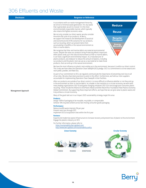#### 306 Effluents and Waste

| <b>Disclosure</b>          | <b>Response or Reference</b>                                                                                                                                                                                                                                                                                                                                                                                                                                                                                                                                                                                                    |  |  |  |  |
|----------------------------|---------------------------------------------------------------------------------------------------------------------------------------------------------------------------------------------------------------------------------------------------------------------------------------------------------------------------------------------------------------------------------------------------------------------------------------------------------------------------------------------------------------------------------------------------------------------------------------------------------------------------------|--|--|--|--|
|                            | In accordance with our waste management hierarchy,<br>Most previously<br>we strive to minimize waste generation. For any waste<br><b>Reduce</b><br>that is generated, we aim to recover it in the most<br>environmentally responsible manner, which typically<br>also retains the highest economic value.<br><b>Reuse</b>                                                                                                                                                                                                                                                                                                       |  |  |  |  |
|                            | We not only consider our direct waste; we also consider<br>the entire life cycle of our products. At Berry,<br>Recycle/<br>we support the research and development of practical<br><b>Compost</b><br>and economical end of life scenarios for our products,<br>such as recycling, which can prevent items from<br><b>Energy</b><br>accumulating in landfills or the natural environment as<br>Recovery<br>litter or marine debris.                                                                                                                                                                                              |  |  |  |  |
|                            | · Leosta prefected<br>We recognize that litter and marine debris are material environmental<br>Landfill<br>issues. Despite the value our products bring-Protecting What's Important-<br>when plastic ends up in the natural environment as litter or marine debris,<br>it can have a significant environmental impact. As a manufacturer of<br>plastic products, we endeavor to reduce the amount of plastics, including<br>our products and the plastic resin we use as a raw material to make those<br>products, that can end up in the natural environment.                                                                  |  |  |  |  |
|                            | We have the most influence on plastic resin ending up in the environment, because it is within our direct control.<br>This is why we have taken the Operation Clean Sweep® (OCS) pledge. OCS is a commitment to strive toward zero<br>resin pellet, powder, and flake loss.                                                                                                                                                                                                                                                                                                                                                     |  |  |  |  |
|                            | As part of our commitment to OCS, we regularly communicate the importance of preventing resin loss to all<br>of our sites. We also share best practices to assist in this effort. Furthermore, we hold our resin suppliers<br>accountable for implementing Operation Clean Sweep® in their facilities.                                                                                                                                                                                                                                                                                                                          |  |  |  |  |
| <b>Management Approach</b> | After our products are outside of our direct control, it is more difficult to influence whether or not they end up<br>in the environment as litter or marine debris. As a leader in the transition to a circular economy, we work with<br>many leading organizations (102-13) and game-changing initiatives (102-12) to encourage post-consumer plastic<br>recycling. These include the Alliance to End Plastic Waste and Ellen MacArthur Foundation New Plastics Economy<br>Global Commitment. By supporting these important efforts, we hope that we can give value to plastic waste and<br>truly achieve a circular economy. |  |  |  |  |
|                            | Many of the goals laid out in our Impact 2025 sustainability strategy target this area:                                                                                                                                                                                                                                                                                                                                                                                                                                                                                                                                         |  |  |  |  |
|                            | <b>Products</b><br>Design 100% of packaging to be reusable, recyclable, or compostable<br>Achieve 10% recycled content across fast-moving consumer goods packaging                                                                                                                                                                                                                                                                                                                                                                                                                                                              |  |  |  |  |
|                            | <b>Performance</b><br>Reduce landfill waste intensity 5% per year<br>Prevent resin loss through OCS<br>Implement OCS at acquisition sites within the first year                                                                                                                                                                                                                                                                                                                                                                                                                                                                 |  |  |  |  |
|                            | <b>Partners</b><br>Expand and modernize waste infrastructure to increase recovery and prevent loss of plastic to the environment<br>Engage the plastics industry on OCS                                                                                                                                                                                                                                                                                                                                                                                                                                                         |  |  |  |  |
|                            | For further information, please refer to:<br>https://sustainability.berryglobal.com/<br>http://www.berryglobal.com/sustainability-policy                                                                                                                                                                                                                                                                                                                                                                                                                                                                                        |  |  |  |  |
|                            | <b>Linear Economy</b><br><b>Circular Economy</b>                                                                                                                                                                                                                                                                                                                                                                                                                                                                                                                                                                                |  |  |  |  |
|                            | TAKE<br>MAKE<br><b>DISPOSE</b>                                                                                                                                                                                                                                                                                                                                                                                                                                                                                                                                                                                                  |  |  |  |  |

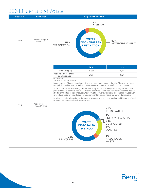#### 306 Effluents and Waste



|                                                      | 2018   | $2019*$ |
|------------------------------------------------------|--------|---------|
| Landfill Waste (MT)                                  | 21,300 | 19,200  |
| Waste Intensity (MT landfilled)<br>per MT processed) | 0.83%  | 0.72%   |

 $MT = metric$  ton \*2019 data excludes RPC acquisition

Reductions in landfill waste generation are driven through our waste reduction initiative. Through this program, we regularly share best practices and information to support our sites with their efforts to reduce waste.

As can be seen in the chart to the right, we are able to recycle the vast majority of waste we generate because plastics are readily recyclable. Most of our collective landfill waste comes from sites that produce multi-material structures that often lack recycling outlets. As we strive for 100% of our packaging to be reusable, recyclable, or compostable, we believe we will be able to recycle an even higher percentage of our manufacturing waste.

Despite continued challenges in recycling markets, we were able to reduce our absolute landfill waste by 10% and achieve a 13% reduction in landfill waste intensity.



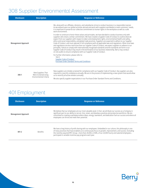#### 308 Supplier Environmental Assessment

| <b>Disclosure</b>          | <b>Description</b>                                                  | <b>Response or Reference</b>                                                                                                                                                                                                                                                                                                                                                                                                                                                                                                                                                                                                                                                                                                                                                                                                                                                                                                                                                         |
|----------------------------|---------------------------------------------------------------------|--------------------------------------------------------------------------------------------------------------------------------------------------------------------------------------------------------------------------------------------------------------------------------------------------------------------------------------------------------------------------------------------------------------------------------------------------------------------------------------------------------------------------------------------------------------------------------------------------------------------------------------------------------------------------------------------------------------------------------------------------------------------------------------------------------------------------------------------------------------------------------------------------------------------------------------------------------------------------------------|
|                            |                                                                     | We, along with our affiliates, divisions, and subsidiaries strive to conduct business in a responsible manner.<br>As we expand upon our global activities abroad and work with suppliers worldwide to meet customers' needs,<br>it is important to preserve our collective commitment to human rights in the workplace as well as a safe<br>work environment.                                                                                                                                                                                                                                                                                                                                                                                                                                                                                                                                                                                                                        |
| <b>Management Approach</b> |                                                                     | In order to continue to honor these values and principles, we have decided to conduct business only with<br>suppliers who share a similar commitment. We have created a Supplier Code of Conduct to outline what we<br>expect from our suppliers with respect to labor and employment rights, environmental health and safety,<br>ethics and social responsibility, and global trade practices. Suppliers are expected to adhere to our Supplier<br>Code of Conduct, and must operate in full compliance with all applicable laws and regulations. When local laws<br>and regulations are less restrictive than our Supplier Code of Conduct, we expect suppliers to adhere to our<br>principles. Failure to comply with internationally recognized standards and the standards set forth in our<br>Supplier Code of Conduct may result in the termination of our business relationship. Berry may conduct<br>on-site audits to ensure compliance with our Supplier Code of Conduct. |
|                            |                                                                     | For further information, please refer to:<br>$102-9$<br><b>Supplier Code of Conduct</b><br><b>Purchase Order Standard Terms and Conditions</b>                                                                                                                                                                                                                                                                                                                                                                                                                                                                                                                                                                                                                                                                                                                                                                                                                                       |
| $308 - 1$                  | New Suppliers That<br>Were Screened Using<br>Environmental Criteria | New suppliers are initially screened for compliance with our Supplier Code of Conduct. Key suppliers are also<br>required to recertify compliance annually. We are in the process of implementing a new system that would allow<br>us to recertify all active vendors annually.                                                                                                                                                                                                                                                                                                                                                                                                                                                                                                                                                                                                                                                                                                      |
|                            |                                                                     | We also specify supplier expectations in our Purchase Order Standard Terms and Conditions.                                                                                                                                                                                                                                                                                                                                                                                                                                                                                                                                                                                                                                                                                                                                                                                                                                                                                           |

#### 401 Employment

| <b>Disclosure</b>          | <b>Description</b> | <b>Response or Reference</b>                                                                                                                                                                                                                                                                                                                                                                          |
|----------------------------|--------------------|-------------------------------------------------------------------------------------------------------------------------------------------------------------------------------------------------------------------------------------------------------------------------------------------------------------------------------------------------------------------------------------------------------|
| <b>Management Approach</b> |                    | We believe that our employees are our most valuable asset. In fact, we attribute our success as a Company in<br>significant part to our ability to recruit, hire, retain, and develop a positive and productive workforce. We are<br>committed to creating a workplace where ideas, energy, teamwork, and dedication fuel our success and where all<br>employees can thrive and meet their potential. |
| $401 - 2$                  | <b>Benefits</b>    | We have a long history of profit sharing with our employees. Embedded in our culture, this philosophy is one<br>of many practices that have enabled us to continuously focus on growth, improvement, and success. Excluding<br>the recently acquired RPC Group-more than 20,000, or 84%, of our 24,000 hourly and salaried employees-<br>participate in variable incentive pay programs each year.    |

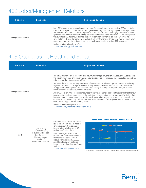#### 402 Labor/Management Relations

| <b>Disclosure</b>          | <b>Description</b> | <b>Response or Reference</b>                                                                                                                                                                                                                                                                                                                                                                                                                                                                                                                                                                                                                                                                                                                                                                                                                                                            |
|----------------------------|--------------------|-----------------------------------------------------------------------------------------------------------------------------------------------------------------------------------------------------------------------------------------------------------------------------------------------------------------------------------------------------------------------------------------------------------------------------------------------------------------------------------------------------------------------------------------------------------------------------------------------------------------------------------------------------------------------------------------------------------------------------------------------------------------------------------------------------------------------------------------------------------------------------------------|
| <b>Management Approach</b> |                    | July 1, 2020 marks the one year anniversary of the transformational merger of Berry and the RPC Group. During<br>the course of the year, our teams have worked together seamlessly to successfully integrate business processes<br>and translate best practices. As publicly reported to the UK Takeover Commission on July 1, 2020, the intended<br>operational and administrative restructuring activities have been completed successfully and are in compliance<br>with our Intention Statements, including a limited reduction in employment of less than 0.5% across the<br>combined group. During the year, we have worked closely with the heritage RPC-European Works Council, which<br>supported the post acquisition integration, strategy, and communication to heritage RPC employees.<br>For further information, please refer to:<br>https://www.berryglobal.com/careers |

#### 403 Occupational Health and Safety

| <b>Disclosure</b>          | <b>Description</b> | <b>Response or Reference</b>                                                                                                                                                                                                                                                                                                                                                                                                                                                                                                                                                                                                                                                                                                                                                                                    |
|----------------------------|--------------------|-----------------------------------------------------------------------------------------------------------------------------------------------------------------------------------------------------------------------------------------------------------------------------------------------------------------------------------------------------------------------------------------------------------------------------------------------------------------------------------------------------------------------------------------------------------------------------------------------------------------------------------------------------------------------------------------------------------------------------------------------------------------------------------------------------------------|
| <b>Management Approach</b> |                    | The safety of our employees and contractors is our number one priority and core value at Berry. Due to the fact<br>that we continually transform our safety practices and procedures, our employees have reduced the incident rate<br>to be far below the industry average of 3.8.<br>We believe that education and empowerment are fundamentals to a safe working environment in every facility.<br>Day-one orientation includes a general safety training course for new employees and contractor initial visits.<br>To supplement every employee's education of safety according to their specific responsibilities, we also offer<br>mandatory online courses through Berry University.<br>At Berry, we are committed to conducting our operations with the highest regard for the safety and health of our |
|                            |                    | employees, the public, our customers, and the protection and preservation of the environment. We believe that<br>injuries and environmental impacts can be eliminated through effective awareness, training, accountability, and<br>compliance. It is the direct responsibility, dedication, and commitment of all Berry employees to maintain a safe<br>workplace and support the sustainability efforts.<br>For further information, please refer to:<br><b>Environmental, Health and Safety Vision &amp; Policy</b>                                                                                                                                                                                                                                                                                          |
|                            |                    |                                                                                                                                                                                                                                                                                                                                                                                                                                                                                                                                                                                                                                                                                                                                                                                                                 |

|                                                                                                |                                                                                                                   | We track our total recordable incident<br>rate as our key performance indicator<br>for this disclosure. Our recordable          |      |      | <b>OSHA RECORDABLE INCIDENT RATE</b><br>- Berry - Industry Average |      |      |         |
|------------------------------------------------------------------------------------------------|-------------------------------------------------------------------------------------------------------------------|---------------------------------------------------------------------------------------------------------------------------------|------|------|--------------------------------------------------------------------|------|------|---------|
|                                                                                                | Types of Injury                                                                                                   | incident rate is calculated using U.S.<br>OSHA's classification criteria.                                                       | 4.60 | 4.20 |                                                                    |      |      |         |
|                                                                                                | and Rates of Injury,<br>Occupational Diseases,                                                                    |                                                                                                                                 |      |      | 3.90                                                               | 3.90 | 3.80 | $3.80*$ |
| $403 - 2$<br>Lost Days, and<br>Absenteeism, and<br>Number of<br><b>Work-Related Fatalities</b> | Industry average is based on the<br>incident rate of nonfatal occupational<br>injuries and illnesses for Plastics |                                                                                                                                 |      |      |                                                                    |      |      |         |
|                                                                                                |                                                                                                                   | 1.26                                                                                                                            | 1.27 | 1.40 | 1.22                                                               | 1.20 | 1.09 |         |
|                                                                                                | Product Manufacturing (NAICS 3261)                                                                                |                                                                                                                                 |      |      |                                                                    |      |      |         |
|                                                                                                |                                                                                                                   | as published by the United States<br>Department of Labor's Bureau of Labor<br>Statistics:<br>https://www.bls.gov/iif/oshsum.htm | 2014 | 2015 | 2016                                                               | 2017 | 2018 | 2019    |

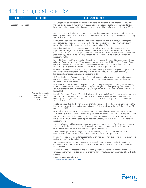## 404 Training and Education

| <b>Disclosure</b>          | <b>Description</b>                                                                        | <b>Response or Reference</b>                                                                                                                                                                                                                                                                                                                                                                                                                                                       |
|----------------------------|-------------------------------------------------------------------------------------------|------------------------------------------------------------------------------------------------------------------------------------------------------------------------------------------------------------------------------------------------------------------------------------------------------------------------------------------------------------------------------------------------------------------------------------------------------------------------------------|
| <b>Management Approach</b> |                                                                                           | As a Company, we believe that it is the cumulative success of our thousands of employees around the globe<br>that fosters excellence within our organization. Success in their respective jobs helps us ensure excellence in<br>innovation, quality, customer satisfaction, and much more, which ultimately fuels the overall success of Berry.                                                                                                                                    |
|                            |                                                                                           | Berry is committed to developing our team members from shop floor to executive level with both in-person and<br>eLearning development programs. Programs include leadership and skill building to drive internal promotability<br>and career development.                                                                                                                                                                                                                          |
|                            |                                                                                           | Berry University: skill and competency building eLearning platform available to all employees via computer<br>and mobile device. Courses are designed to upskill employees for accelerating success in current role as well as<br>prepare them for future leadership positions. (24,500 participants in 2019)                                                                                                                                                                      |
|                            |                                                                                           | Leadership Foundations: front-line supervisor and individuals with the potential and desire to become<br>supervisors. 20 manager skill courses that are taught at local level by HR and Plant leaders. Each 1.5 hour<br>course covers basic leadership concepts and tools needed for success in the supervisory role (examples include:<br>problem solving, interview skills, providing feedback, etc.) These courses are available in 8 languages. (1275<br>participants in 2019) |
|                            |                                                                                           | Leadership Development Program (heritage Berry): three day instructor-led leadership competency workshop<br>delivered 2-3 times per year in all of Berry's primary geographies (including US, Mexico, South America, Europe<br>and Asia) for Manager and Director-band employees. Course includes Situational Leadership, Building Trust,<br>MBTI, Leading Change and interactions with senior leaders. (300 participants in 2019)                                                 |
|                            |                                                                                           | CPI Bronze Development Program (heritage RPC): 9-month leadership development program for high potential<br>individual contributors targeted for leadership positions. Includes modules on execution, leadership, lean Six<br>Sigma principles, and problem solving. (15 participants 2019)                                                                                                                                                                                        |
|                            |                                                                                           | CPI Silver Development Program (heritage RPC): 12-month development program for high potential Managers<br>and Directors targeted for senior leadership positions. Includes three facilitator-led sessions and a project<br>requirement. (20 participants in 2019)                                                                                                                                                                                                                 |
|                            |                                                                                           | International Graduate Development Program (heritage RPC): program designed for recent graduates entering<br>the manufacturing field. Program extends over two years with eight interactions providing development in<br>communication skills, team effectiveness, managing change and inspirational leadership. (17 graduates in 2018,<br>hiatus 2019))                                                                                                                           |
| $404 - 2$                  | Programs for Upgrading<br>Employee Skills and<br><b>Transition Assistance</b><br>Programs | Executive Development Program: 10-month developmental program for EVPs and VPs to provide global exposure<br>and enterprise thinking. Participants must solve a real -time Berry issue through collaboration with local<br>leadership and strategic thinking capability. Includes educational sessions with global business schools. (hiatus<br>2019, 15 in 2018)                                                                                                                  |
|                            |                                                                                           | Core Selling Capabilities: development program for employees new to selling roles or new to Berry. Includes the<br>Berry sales process and key account management process. Facilitator-led courses held in US, EU and China. (90<br>participants in 2019)                                                                                                                                                                                                                          |
|                            |                                                                                           | Advanced Selling Capabilities: sales development program for tenured sales professionals. Case study based<br>focus on selling value and negotiation skills training. Facilitator-led courses in US and EU. (65 participants in 2019)                                                                                                                                                                                                                                              |
|                            |                                                                                           | Finance for Sales Professionals: simulation-based course for sales professionals used as a deep dive into P&L<br>levers which can be used when negotiating with customers. 3rd party deliver in US, EU and South America. (75<br>participants 2019)                                                                                                                                                                                                                                |
|                            |                                                                                           | Operations Development Program: newly launch program to develop new to Berry Plant Directors and internal<br>successors to the Plant Director role. Focus is on leading team, driving engagement, financial acumen, safety,<br>quality and sustainability. Delivered in US and EU (55 participants in 2019)                                                                                                                                                                        |
|                            |                                                                                           | 7 Habits for Managers: Franklin Covey course facilitated internally as an independent course. Focus is on<br>maximizing the contributions of the team to overdrive deliverables. (40 participants in 2019)                                                                                                                                                                                                                                                                         |
|                            |                                                                                           | Building your Career at Berry: workshop designed for emerging talent on how to self-develop and prepare for the<br>next career step. (85 participants in 2019)                                                                                                                                                                                                                                                                                                                     |
|                            |                                                                                           | 360 assessment and feedback: Berry provides three levels of 360 assessment and feedback. (1) Individual<br>contributor level, (2) Manager and Director, (3) senior executive utilizing OPTM 360s and Center for Creative<br>Leadership 360s.                                                                                                                                                                                                                                       |
|                            |                                                                                           | Additionally Berry conducts deep dive succession planning calibration sessions, reviewing more than 1200<br>employees on an annual basis. Sessions are followed with 12-month individual development plans for each leader<br>reviewed."                                                                                                                                                                                                                                           |
|                            |                                                                                           | For further information, please visit:<br>http://www.berryglobal.com/careers                                                                                                                                                                                                                                                                                                                                                                                                       |

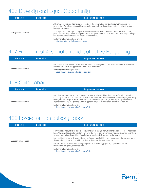#### 405 Diversity and Equal Opportunity

| <b>Disclosure</b>          | <b>Description</b> | <b>Response or Reference</b>                                                                                                                                                                                                                                                                        |
|----------------------------|--------------------|-----------------------------------------------------------------------------------------------------------------------------------------------------------------------------------------------------------------------------------------------------------------------------------------------------|
|                            |                    | At Berry, we understand that we are made better by the diversity that exists within our Company and our<br>communities. We believe that our differences and unique qualities allow us to generate innovative ideas and be<br>better problem solvers.                                                |
| <b>Management Approach</b> |                    | As an organization, through our plugIN Diversity and Inclusion Network and its initiatives, we will continually<br>prioritize the development of a thoughtful, diverse workplace where all are accepted and have the opportunity to<br>thrive and equally contribute to the success of our Company. |
|                            |                    | For further information, please refer to:<br>https://www.berryglobal.com/careers/plugin                                                                                                                                                                                                             |

#### 407 Freedom of Association and Collective Bargaining

| <b>Disclosure</b>          | <b>Description</b> | <b>Response or Reference</b>                                                                                                                                                       |
|----------------------------|--------------------|------------------------------------------------------------------------------------------------------------------------------------------------------------------------------------|
| <b>Management Approach</b> |                    | Berry respects the freedom of association. We will cooperate in good faith with the trade unions that represent<br>our employees within the appropriate national legal frameworks. |
|                            |                    | For further information, please visit:<br><b>Global Human Rights and Labor Standards Policy</b>                                                                                    |

#### 408 Child Labor

| <b>Disclosure</b>          | <b>Description</b> | <b>Response or Reference</b>                                                                                                                                                                                                                                                                                                                                                                                                                                       |
|----------------------------|--------------------|--------------------------------------------------------------------------------------------------------------------------------------------------------------------------------------------------------------------------------------------------------------------------------------------------------------------------------------------------------------------------------------------------------------------------------------------------------------------|
| <b>Management Approach</b> |                    | Berry does not allow child labor in its operations. We also believe children should not be forced or coerced into<br>trafficking, bonded labor or servitude. The term "child" means any person under the minimum legal age for being<br>employed in the workplace, which in most instances is fifteen (15) years of age. Typically, Berry does not hire<br>anyone under the age of eighteen (18) unless apprenticeships or internships are permitted by local law. |
|                            |                    | For further information, please visit:<br><b>Global Human Rights and Labor Standards Policy</b>                                                                                                                                                                                                                                                                                                                                                                    |

#### 409 Forced or Compulsory Labor

| <b>Disclosure</b>          | <b>Description</b> | <b>Response or Reference</b>                                                                                                                                                                                                                                                                                                               |
|----------------------------|--------------------|--------------------------------------------------------------------------------------------------------------------------------------------------------------------------------------------------------------------------------------------------------------------------------------------------------------------------------------------|
| <b>Management Approach</b> |                    | Berry respects the rights of all people, so we will not use or engage in any form of coerced, bonded or indentured<br>labor. All work will be voluntary, and employees will be free to leave or terminate their employment in accordance<br>with local and national laws without fear of physical, psychological, sexual, or verbal abuse. |
|                            |                    | Berry prohibits the use of slavery and human trafficking in our facilities, by our suppliers and business partners.<br>Slavery includes forced labor, in addition to bonded labor and domestic servitude.                                                                                                                                  |
|                            |                    | Berry will not require employees to lodge "deposits" of their identity papers (e.g., government-issued<br>identification, passports, or work permits).                                                                                                                                                                                     |
|                            |                    | For further information, please visit:<br><b>Global Human Rights and Labor Standards Policy</b>                                                                                                                                                                                                                                            |

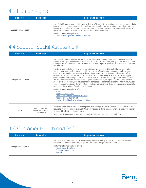#### 412 Human Rights

| <b>Disclosure</b>          | <b>Description</b> | <b>Response or Reference</b>                                                                                                                                                                                                                                                                                                                                                                                                              |
|----------------------------|--------------------|-------------------------------------------------------------------------------------------------------------------------------------------------------------------------------------------------------------------------------------------------------------------------------------------------------------------------------------------------------------------------------------------------------------------------------------------|
| <b>Management Approach</b> |                    | Berry Global Group, Inc. and its subsidiaries (collectively, "Berry") strive to maintain a working environment, both<br>internally and through our suppliers, that conducts its personnel practices in a manner designed to respect the<br>human rights for all individuals and ensure equal opportunities. Berry operates in accordance with applicable<br>laws and labor standards, Berry policies, and Berry's Code of Business Ethics |
|                            |                    | For further information, please visit:<br><b>Global Human Rights and Labor Standards Policy</b>                                                                                                                                                                                                                                                                                                                                           |

#### 414 Supplier Social Assessment

| <b>Disclosure</b>          | <b>Description</b>                                           | <b>Response or Reference</b>                                                                                                                                                                                                                                                                                                                                                                                                                                                                                                                                                                                                                                                                                                                                                                                                                                                                                                                                                        |
|----------------------------|--------------------------------------------------------------|-------------------------------------------------------------------------------------------------------------------------------------------------------------------------------------------------------------------------------------------------------------------------------------------------------------------------------------------------------------------------------------------------------------------------------------------------------------------------------------------------------------------------------------------------------------------------------------------------------------------------------------------------------------------------------------------------------------------------------------------------------------------------------------------------------------------------------------------------------------------------------------------------------------------------------------------------------------------------------------|
|                            |                                                              | Berry Global Group, Inc. our affiliates, divisions, and subsidiaries strive to conduct business in a responsible<br>manner. As we expand our business activities abroad and work with suppliers globally to meet customers' needs,<br>it is important to preserve our collective commitment to human rights in the workplace as well as to a safe work<br>environment.                                                                                                                                                                                                                                                                                                                                                                                                                                                                                                                                                                                                              |
| <b>Management Approach</b> |                                                              | In order to continue to honor these values and principles, we have decided to conduct business only with<br>suppliers who share a similar commitment. We have created a Supplier Code of Conduct to outline what we<br>expect from our suppliers with respect to labor and employment rights, environmental health and safety,<br>ethics and social responsibility, and global trade practices. Suppliers are expected to adhere to our Supplier<br>Code of Conduct and must operate in full compliance with all applicable laws and regulations. When local laws<br>and regulations are less restrictive than our Supplier Code of Conduct, we expect suppliers to adhere to our<br>principles. Failure to comply with internationally recognized standards and the standards set forth in our Supplier<br>Code of Conduct may result in the termination of our business relationship. Berry may conduct on-site audits to<br>ensure compliance with our Supplier Code of Conduct. |
|                            |                                                              | For further information, please refer to:<br>$102 - 9$<br><b>Supplier Code of Conduct</b><br><b>Global Acquisition and Accountability Policy</b><br><b>Modern Slavery Act Statement</b><br><b>Purchase Order Standard Terms and Conditions</b>                                                                                                                                                                                                                                                                                                                                                                                                                                                                                                                                                                                                                                                                                                                                      |
| $414 - 1$                  | New Suppliers That<br>Were Screened Using<br>Social Criteria | New suppliers are initially screened for compliance with our Supplier Code of Conduct. Key suppliers are also<br>required to recertify compliance annually. We are in the process of implementing a new system that would allow<br>us to recertify all active vendors annually.<br>We also specify supplier expectations in our Purchase Order Standard Terms and Conditions.                                                                                                                                                                                                                                                                                                                                                                                                                                                                                                                                                                                                       |

#### 416 Customer Health and Safety

| <b>Disclosure</b>          | <b>Description</b> | <b>Response or Reference</b>                                                                                                                                                                          |
|----------------------------|--------------------|-------------------------------------------------------------------------------------------------------------------------------------------------------------------------------------------------------|
| <b>Management Approach</b> |                    | Berry maintains the highest possible standards of product stewardship to ensure the safe and responsible<br>utilization of materials in enhancing the quality of life through design and development. |
|                            |                    | For further information, please refer to:<br><b>Product Stewardship Policy</b><br><b>Continuous Improvement</b><br><b>Quality Policy</b>                                                              |